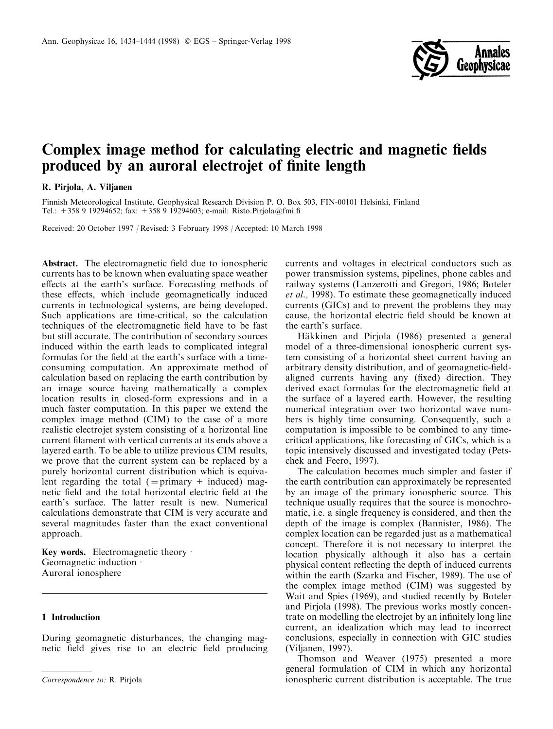

# Complex image method for calculating electric and magnetic fields produced by an auroral electroiet of finite length

## R. Pirjola, A. Viljanen

Finnish Meteorological Institute, Geophysical Research Division P. O. Box 503, FIN-00101 Helsinki, Finland Tel.: +358 9 19294652; fax: +358 9 19294603; e-mail: Risto.Pirjola@fmi.fi

Received: 20 October 1997 / Revised: 3 February 1998 / Accepted: 10 March 1998

Abstract. The electromagnetic field due to ionospheric currents has to be known when evaluating space weather effects at the earth's surface. Forecasting methods of these effects, which include geomagnetically induced currents in technological systems, are being developed. Such applications are time-critical, so the calculation techniques of the electromagnetic field have to be fast but still accurate. The contribution of secondary sources induced within the earth leads to complicated integral formulas for the field at the earth's surface with a timeconsuming computation. An approximate method of calculation based on replacing the earth contribution by an image source having mathematically a complex location results in closed-form expressions and in a much faster computation. In this paper we extend the complex image method (CIM) to the case of a more realistic electrojet system consisting of a horizontal line current filament with vertical currents at its ends above a layered earth. To be able to utilize previous CIM results, we prove that the current system can be replaced by a purely horizontal current distribution which is equivalent regarding the total ( $=$ primary  $+$  induced) magnetic field and the total horizontal electric field at the earth's surface. The latter result is new. Numerical calculations demonstrate that CIM is very accurate and several magnitudes faster than the exact conventional approach.

Key words. Electromagnetic theory  $\cdot$ Geomagnetic induction  $\cdot$ Auroral ionosphere

# 1 Introduction

During geomagnetic disturbances, the changing magnetic field gives rise to an electric field producing currents and voltages in electrical conductors such as power transmission systems, pipelines, phone cables and railway systems (Lanzerotti and Gregori, 1986; Boteler et al., 1998). To estimate these geomagnetically induced currents (GICs) and to prevent the problems they may cause, the horizontal electric field should be known at the earth's surface.

Häkkinen and Pirjola (1986) presented a general model of a three-dimensional ionospheric current system consisting of a horizontal sheet current having an arbitrary density distribution, and of geomagnetic-fieldaligned currents having any (fixed) direction. They derived exact formulas for the electromagnetic field at the surface of a layered earth. However, the resulting numerical integration over two horizontal wave numbers is highly time consuming. Consequently, such a computation is impossible to be combined to any timecritical applications, like forecasting of GICs, which is a topic intensively discussed and investigated today (Petschek and Feero, 1997).

The calculation becomes much simpler and faster if the earth contribution can approximately be represented by an image of the primary ionospheric source. This technique usually requires that the source is monochromatic, i.e. a single frequency is considered, and then the depth of the image is complex (Bannister, 1986). The complex location can be regarded just as a mathematical concept. Therefore it is not necessary to interpret the location physically although it also has a certain physical content reflecting the depth of induced currents within the earth (Szarka and Fischer, 1989). The use of the complex image method (CIM) was suggested by Wait and Spies (1969), and studied recently by Boteler and Pirjola (1998). The previous works mostly concentrate on modelling the electrojet by an infinitely long line current, an idealization which may lead to incorrect conclusions, especially in connection with GIC studies (Viljanen, 1997).

Thomson and Weaver (1975) presented a more general formulation of CIM in which any horizontal Correspondence to: R. Pirjola ionospheric current distribution is acceptable. The true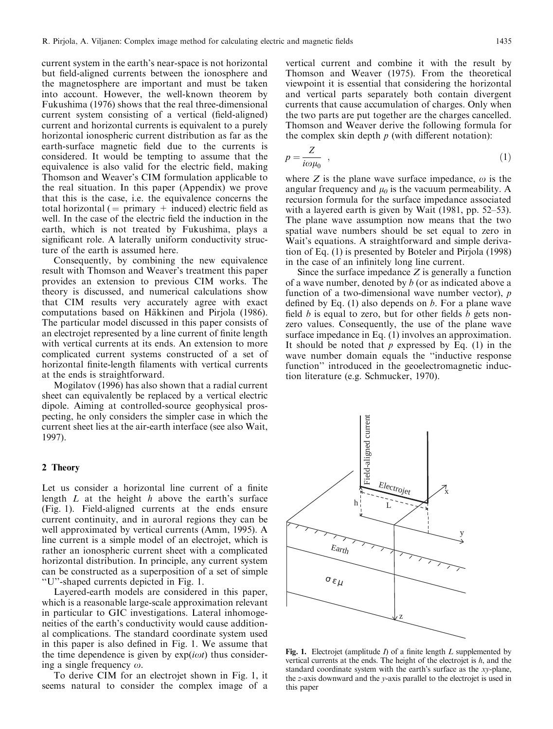current system in the earth's near-space is not horizontal but field-aligned currents between the ionosphere and the magnetosphere are important and must be taken into account. However, the well-known theorem by Fukushima (1976) shows that the real three-dimensional current system consisting of a vertical (field-aligned) current and horizontal currents is equivalent to a purely horizontal ionospheric current distribution as far as the earth-surface magnetic field due to the currents is considered. It would be tempting to assume that the equivalence is also valid for the electric field, making Thomson and Weaver's CIM formulation applicable to the real situation. In this paper (Appendix) we prove that this is the case, i.e. the equivalence concerns the total horizontal ( $=$  primary  $+$  induced) electric field as well. In the case of the electric field the induction in the earth, which is not treated by Fukushima, plays a significant role. A laterally uniform conductivity structure of the earth is assumed here.

Consequently, by combining the new equivalence result with Thomson and Weaver's treatment this paper provides an extension to previous CIM works. The theory is discussed, and numerical calculations show that CIM results very accurately agree with exact computations based on Häkkinen and Pirjola (1986). The particular model discussed in this paper consists of an electrojet represented by a line current of finite length with vertical currents at its ends. An extension to more complicated current systems constructed of a set of horizontal finite-length filaments with vertical currents at the ends is straightforward.

Mogilatov (1996) has also shown that a radial current sheet can equivalently be replaced by a vertical electric dipole. Aiming at controlled-source geophysical prospecting, he only considers the simpler case in which the current sheet lies at the air-earth interface (see also Wait, 1997).

#### 2 Theory

Let us consider a horizontal line current of a finite length  $L$  at the height  $h$  above the earth's surface (Fig. 1). Field-aligned currents at the ends ensure current continuity, and in auroral regions they can be well approximated by vertical currents (Amm, 1995). A line current is a simple model of an electrojet, which is rather an ionospheric current sheet with a complicated horizontal distribution. In principle, any current system can be constructed as a superposition of a set of simple ``U''-shaped currents depicted in Fig. 1.

Layered-earth models are considered in this paper, which is a reasonable large-scale approximation relevant in particular to GIC investigations. Lateral inhomogeneities of the earth's conductivity would cause additional complications. The standard coordinate system used in this paper is also defined in Fig. 1. We assume that the time dependence is given by  $exp(i\omega t)$  thus considering a single frequency  $\omega$ .

To derive CIM for an electrojet shown in Fig. 1, it seems natural to consider the complex image of a vertical current and combine it with the result by Thomson and Weaver (1975). From the theoretical viewpoint it is essential that considering the horizontal and vertical parts separately both contain divergent currents that cause accumulation of charges. Only when the two parts are put together are the charges cancelled. Thomson and Weaver derive the following formula for the complex skin depth  $p$  (with different notation):

$$
p = \frac{Z}{i\omega\mu_0} \quad , \tag{1}
$$

where Z is the plane wave surface impedance,  $\omega$  is the angular frequency and  $\mu_0$  is the vacuum permeability. A recursion formula for the surface impedance associated with a layered earth is given by Wait  $(1981, pp. 52-53)$ . The plane wave assumption now means that the two spatial wave numbers should be set equal to zero in Wait's equations. A straightforward and simple derivation of Eq. (1) is presented by Boteler and Pirjola (1998) in the case of an infinitely long line current.

Since the surface impedance  $Z$  is generally a function of a wave number, denoted by b (or as indicated above a function of a two-dimensional wave number vector), p defined by Eq. (1) also depends on  $b$ . For a plane wave field  $b$  is equal to zero, but for other fields  $b$  gets nonzero values. Consequently, the use of the plane wave surface impedance in Eq. (1) involves an approximation. It should be noted that  $p$  expressed by Eq. (1) in the wave number domain equals the "inductive response" function" introduced in the geoelectromagnetic induction literature (e.g. Schmucker, 1970).



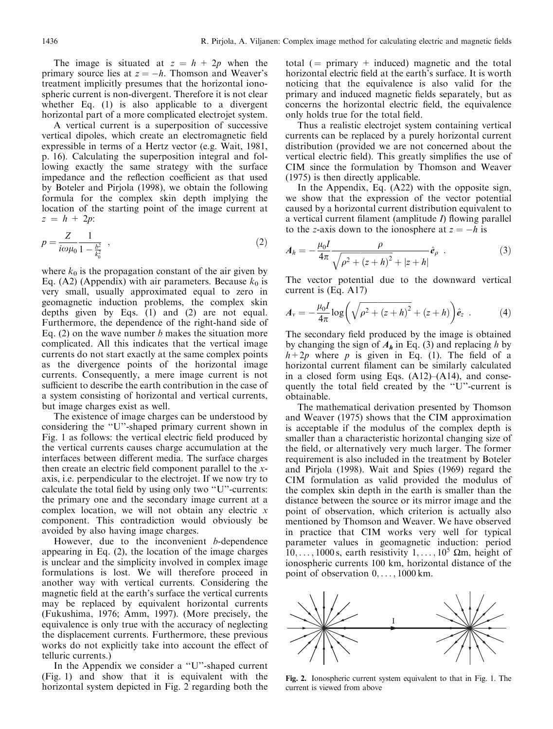The image is situated at  $z = h + 2p$  when the primary source lies at  $z = -h$ . Thomson and Weaver's treatment implicitly presumes that the horizontal ionospheric current is non-divergent. Therefore it is not clear whether Eq. (1) is also applicable to a divergent horizontal part of a more complicated electrojet system.

A vertical current is a superposition of successive vertical dipoles, which create an electromagnetic field expressible in terms of a Hertz vector (e.g. Wait, 1981, p. 16). Calculating the superposition integral and following exactly the same strategy with the surface impedance and the reflection coefficient as that used by Boteler and Pirjola (1998), we obtain the following formula for the complex skin depth implying the location of the starting point of the image current at  $z = h + 2p$ :

$$
p = \frac{Z}{i\omega\mu_0} \frac{1}{1 - \frac{b^2}{k_0^2}} \tag{2}
$$

where  $k_0$  is the propagation constant of the air given by Eq. (A2) (Appendix) with air parameters. Because  $k_0$  is very small, usually approximated equal to zero in geomagnetic induction problems, the complex skin depths given by Eqs. (1) and (2) are not equal. Furthermore, the dependence of the right-hand side of Eq. (2) on the wave number  $b$  makes the situation more complicated. All this indicates that the vertical image currents do not start exactly at the same complex points as the divergence points of the horizontal image currents. Consequently, a mere image current is not sufficient to describe the earth contribution in the case of a system consisting of horizontal and vertical currents, but image charges exist as well.

The existence of image charges can be understood by considering the "U"-shaped primary current shown in Fig. 1 as follows: the vertical electric field produced by the vertical currents causes charge accumulation at the interfaces between different media. The surface charges then create an electric field component parallel to the  $x$ axis, i.e. perpendicular to the electrojet. If we now try to calculate the total field by using only two  $"U"$ -currents: the primary one and the secondary image current at a complex location, we will not obtain any electric  $x$ component. This contradiction would obviously be avoided by also having image charges.

However, due to the inconvenient b-dependence appearing in Eq. (2), the location of the image charges is unclear and the simplicity involved in complex image formulations is lost. We will therefore proceed in another way with vertical currents. Considering the magnetic field at the earth's surface the vertical currents may be replaced by equivalent horizontal currents (Fukushima, 1976; Amm, 1997). (More precisely, the equivalence is only true with the accuracy of neglecting the displacement currents. Furthermore, these previous works do not explicitly take into account the effect of telluric currents.)

In the Appendix we consider a "U"-shaped current (Fig. 1) and show that it is equivalent with the horizontal system depicted in Fig. 2 regarding both the total  $($  = primary + induced) magnetic and the total horizontal electric field at the earth's surface. It is worth noticing that the equivalence is also valid for the primary and induced magnetic fields separately, but as concerns the horizontal electric field, the equivalence only holds true for the total field.

Thus a realistic electrojet system containing vertical currents can be replaced by a purely horizontal current distribution (provided we are not concerned about the vertical electric field). This greatly simplifies the use of CIM since the formulation by Thomson and Weaver (1975) is then directly applicable.

In the Appendix, Eq. (A22) with the opposite sign, we show that the expression of the vector potential caused by a horizontal current distribution equivalent to a vertical current filament (amplitude  $I$ ) flowing parallel to the z-axis down to the ionosphere at  $z = -h$  is

$$
A_h = -\frac{\mu_0 I}{4\pi} \frac{\rho}{\sqrt{\rho^2 + (z+h)^2} + |z+h|} \hat{e}_{\rho} . \tag{3}
$$

The vector potential due to the downward vertical current is (Eq. A17)

$$
A_{v} = -\frac{\mu_{0} I}{4\pi} \log \left( \sqrt{\rho^{2} + (z+h)^{2}} + (z+h) \right) \hat{e}_{z} \quad . \tag{4}
$$

The secondary field produced by the image is obtained by changing the sign of  $A_h$  in Eq. (3) and replacing h by  $h+2p$  where p is given in Eq. (1). The field of a horizontal current filament can be similarly calculated in a closed form using Eqs.  $(A12)$ – $(A14)$ , and consequently the total field created by the "U"-current is obtainable.

The mathematical derivation presented by Thomson and Weaver (1975) shows that the CIM approximation is acceptable if the modulus of the complex depth is smaller than a characteristic horizontal changing size of the field, or alternatively very much larger. The former requirement is also included in the treatment by Boteler and Pirjola (1998). Wait and Spies (1969) regard the CIM formulation as valid provided the modulus of the complex skin depth in the earth is smaller than the distance between the source or its mirror image and the point of observation, which criterion is actually also mentioned by Thomson and Weaver. We have observed in practice that CIM works very well for typical parameter values in geomagnetic induction: period  $10, \ldots, 1000$  s, earth resistivity  $1, \ldots, 10^5$  Qm, height of ionospheric currents 100 km, horizontal distance of the point of observation  $0, \ldots, 1000$  km.



Fig. 2. Ionospheric current system equivalent to that in Fig. 1. The current is viewed from above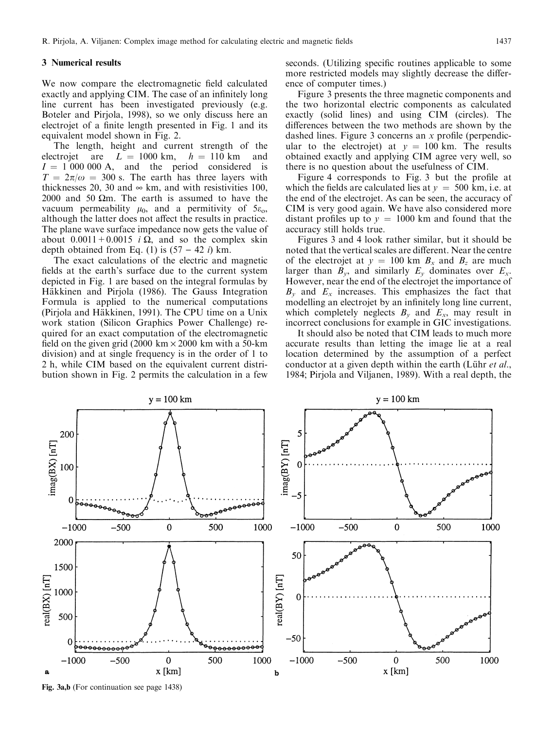## 3 Numerical results

We now compare the electromagnetic field calculated exactly and applying CIM. The case of an infinitely long line current has been investigated previously (e.g. Boteler and Pirjola, 1998), so we only discuss here an electrojet of a finite length presented in Fig. 1 and its equivalent model shown in Fig. 2.

The length, height and current strength of the electrojet are  $L = 1000$  km,  $h = 110$  km and  $I = 1000000$  A, and the period considered is  $T = 2\pi/\omega = 300$  s. The earth has three layers with thicknesses 20, 30 and  $\infty$  km, and with resistivities 100, 2000 and 50  $\Omega$ m. The earth is assumed to have the vacuum permeability  $\mu_0$ , and a permitivity of  $5\varepsilon_0$ , although the latter does not affect the results in practice. The plane wave surface impedance now gets the value of about  $0.0011+0.0015$  *i*  $\Omega$ , and so the complex skin depth obtained from Eq. (1) is  $(57 - 42 i)$  km.

The exact calculations of the electric and magnetic fields at the earth's surface due to the current system depicted in Fig. 1 are based on the integral formulas by Häkkinen and Pirjola (1986). The Gauss Integration Formula is applied to the numerical computations (Pirjola and Häkkinen, 1991). The CPU time on a Unix work station (Silicon Graphics Power Challenge) required for an exact computation of the electromagnetic field on the given grid (2000 km  $\times$  2000 km with a 50-km division) and at single frequency is in the order of 1 to 2 h, while CIM based on the equivalent current distribution shown in Fig. 2 permits the calculation in a few

seconds. (Utilizing specific routines applicable to some more restricted models may slightly decrease the difference of computer times.)

Figure 3 presents the three magnetic components and the two horizontal electric components as calculated exactly (solid lines) and using CIM (circles). The differences between the two methods are shown by the dashed lines. Figure 3 concerns an  $x$  profile (perpendicular to the electrojet) at  $y = 100$  km. The results obtained exactly and applying CIM agree very well, so there is no question about the usefulness of CIM.

Figure 4 corresponds to Fig. 3 but the profile at which the fields are calculated lies at  $y = 500$  km, i.e. at the end of the electrojet. As can be seen, the accuracy of CIM is very good again. We have also considered more distant profiles up to  $y = 1000$  km and found that the accuracy still holds true.

Figures 3 and 4 look rather similar, but it should be noted that the vertical scales are different. Near the centre of the electrojet at  $y = 100$  km  $B_x$  and  $B_z$  are much larger than  $B_v$ , and similarly  $E_v$  dominates over  $E_x$ . However, near the end of the electrojet the importance of  $B<sub>v</sub>$  and  $E<sub>x</sub>$  increases. This emphasizes the fact that modelling an electrojet by an infinitely long line current, which completely neglects  $B<sub>v</sub>$  and  $E<sub>x</sub>$ , may result in incorrect conclusions for example in GIC investigations.

It should also be noted that CIM leads to much more accurate results than letting the image lie at a real location determined by the assumption of a perfect conductor at a given depth within the earth (Lühr et al., 1984; Pirjola and Viljanen, 1989). With a real depth, the



Fig. 3a,b (For continuation see page 1438)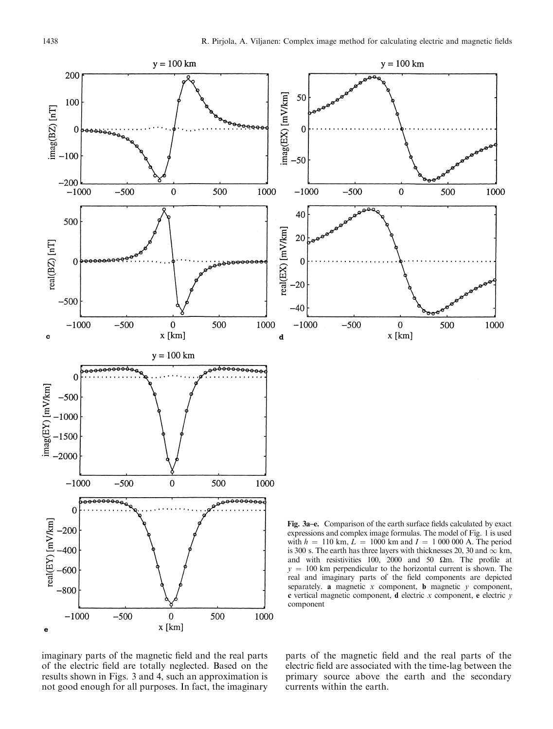

imaginary parts of the magnetic field and the real parts of the electric field are totally neglected. Based on the results shown in Figs. 3 and 4, such an approximation is not good enough for all purposes. In fact, the imaginary

parts of the magnetic field and the real parts of the electric field are associated with the time-lag between the primary source above the earth and the secondary currents within the earth.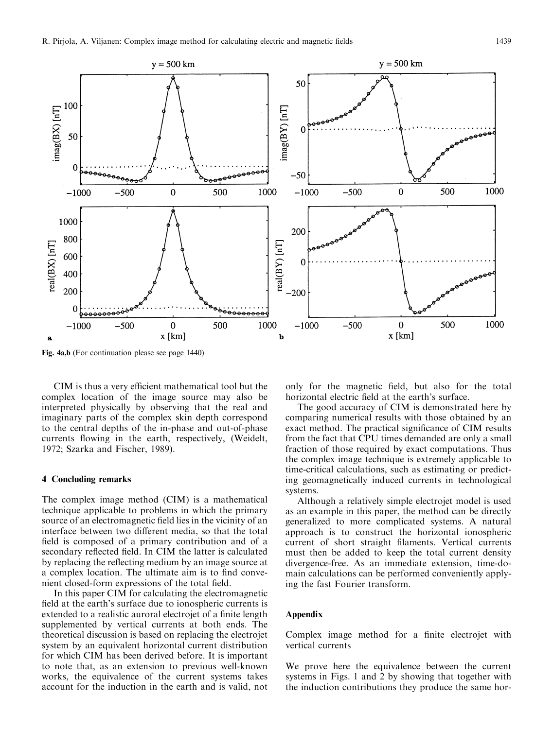$v = 500$  km



50

 $\theta$ 

 $-50$ 

 $\text{imag}(BY)$  [nT]

Fig. 4a,b (For continuation please see page 1440)

CIM is thus a very efficient mathematical tool but the complex location of the image source may also be interpreted physically by observing that the real and imaginary parts of the complex skin depth correspond to the central depths of the in-phase and out-of-phase currents flowing in the earth, respectively, (Weidelt, 1972; Szarka and Fischer, 1989).

### 4 Concluding remarks

100

50

 $\overline{0}$ 

 $\text{imag}(BX)$  [nT]

 $real(BX)[nT]$ 

 $\mathbf{a}$ 

The complex image method (CIM) is a mathematical technique applicable to problems in which the primary source of an electromagnetic field lies in the vicinity of an interface between two different media, so that the total field is composed of a primary contribution and of a secondary reflected field. In CIM the latter is calculated by replacing the reflecting medium by an image source at a complex location. The ultimate aim is to find convenient closed-form expressions of the total field.

In this paper CIM for calculating the electromagnetic field at the earth's surface due to ionospheric currents is extended to a realistic auroral electrojet of a finite length supplemented by vertical currents at both ends. The theoretical discussion is based on replacing the electrojet system by an equivalent horizontal current distribution for which CIM has been derived before. It is important to note that, as an extension to previous well-known works, the equivalence of the current systems takes account for the induction in the earth and is valid, not

only for the magnetic field, but also for the total horizontal electric field at the earth's surface.

 $v = 500$  km

The good accuracy of CIM is demonstrated here by comparing numerical results with those obtained by an exact method. The practical significance of CIM results from the fact that CPU times demanded are only a small fraction of those required by exact computations. Thus the complex image technique is extremely applicable to time-critical calculations, such as estimating or predicting geomagnetically induced currents in technological systems.

Although a relatively simple electrojet model is used as an example in this paper, the method can be directly generalized to more complicated systems. A natural approach is to construct the horizontal ionospheric current of short straight filaments. Vertical currents must then be added to keep the total current density divergence-free. As an immediate extension, time-domain calculations can be performed conveniently applying the fast Fourier transform.

# Appendix

Complex image method for a finite electrojet with vertical currents

We prove here the equivalence between the current systems in Figs. 1 and 2 by showing that together with the induction contributions they produce the same hor-

1000

1000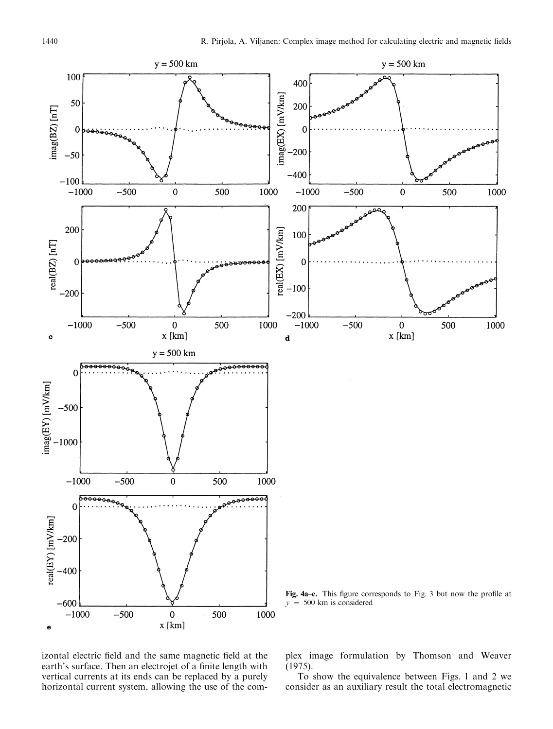

izontal electric field and the same magnetic field at the earth's surface. Then an electrojet of a finite length with vertical currents at its ends can be replaced by a purely horizontal current system, allowing the use of the com-

plex image formulation by Thomson and Weaver (1975).

To show the equivalence between Figs. 1 and 2 we consider as an auxiliary result the total electromagnetic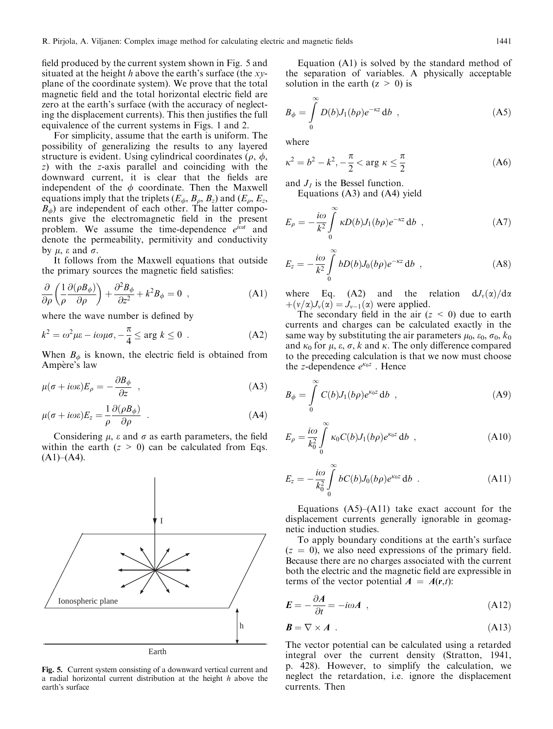field produced by the current system shown in Fig. 5 and situated at the height  $h$  above the earth's surface (the xyplane of the coordinate system). We prove that the total magnetic field and the total horizontal electric field are zero at the earth's surface (with the accuracy of neglecting the displacement currents). This then justifies the full equivalence of the current systems in Figs. 1 and 2.

For simplicity, assume that the earth is uniform. The possibility of generalizing the results to any layered structure is evident. Using cylindrical coordinates ( $\rho$ ,  $\phi$ , z) with the z-axis parallel and coinciding with the downward current, it is clear that the fields are independent of the  $\phi$  coordinate. Then the Maxwell equations imply that the triplets ( $E_{\phi}$ ,  $B_{\rho}$ ,  $B_{z}$ ) and ( $E_{\rho}$ ,  $E_{z}$ ,  $B_{\phi}$ ) are independent of each other. The latter components give the electromagnetic field in the present problem. We assume the time-dependence  $e^{i\omega t}$  and denote the permeability, permitivity and conductivity by  $\mu$ ,  $\varepsilon$  and  $\sigma$ .

It follows from the Maxwell equations that outside the primary sources the magnetic field satisfies:

$$
\frac{\partial}{\partial \rho} \left( \frac{1}{\rho} \frac{\partial (\rho B_{\phi})}{\partial \rho} \right) + \frac{\partial^2 B_{\phi}}{\partial z^2} + k^2 B_{\phi} = 0 , \qquad (A1)
$$

where the wave number is defined by

$$
k^2 = \omega^2 \mu \varepsilon - i\omega \mu \sigma, -\frac{\pi}{4} \le \arg k \le 0 \quad . \tag{A2}
$$

When  $B_{\phi}$  is known, the electric field is obtained from Ampère's law

$$
\mu(\sigma + i\omega \varepsilon) E_{\rho} = -\frac{\partial B_{\phi}}{\partial z} \quad , \tag{A3}
$$

$$
\mu(\sigma + i\omega \varepsilon) E_z = \frac{1}{\rho} \frac{\partial (\rho B_{\phi})}{\partial \rho} .
$$
 (A4)

Considering  $\mu$ ,  $\varepsilon$  and  $\sigma$  as earth parameters, the field within the earth  $(z > 0)$  can be calculated from Eqs.  $(A1)–(A4)$ .



Fig. 5. Current system consisting of a downward vertical current and a radial horizontal current distribution at the height h above the earth's surface

Equation (A1) is solved by the standard method of the separation of variables. A physically acceptable solution in the earth  $(z > 0)$  is

$$
B_{\phi} = \int_{0}^{\infty} D(b) J_1(b\rho) e^{-\kappa z} db , \qquad (A5)
$$

where

$$
\kappa^2 = b^2 - k^2, -\frac{\pi}{2} < \arg \kappa \le \frac{\pi}{2} \tag{A6}
$$

and  $J_1$  is the Bessel function.

Equations (A3) and (A4) yield

$$
E_{\rho} = -\frac{i\omega}{k^2} \int_{0}^{\infty} \kappa D(b) J_1(b\rho) e^{-\kappa z} db , \qquad (A7)
$$

$$
E_z = -\frac{i\omega}{k^2} \int_0^\infty bD(b)J_0(b\rho)e^{-\kappa z} db , \qquad (A8)
$$

where Eq. (A2) and the relation  $dJ_v(\alpha)/d\alpha$  $+(v/\alpha)J_v(\alpha) = J_{v-1}(\alpha)$  were applied.

The secondary field in the air  $(z < 0)$  due to earth currents and charges can be calculated exactly in the same way by substituting the air parameters  $\mu_0$ ,  $\varepsilon_0$ ,  $\sigma_0$ ,  $k_0$ and  $\kappa_0$  for  $\mu$ ,  $\varepsilon$ ,  $\sigma$ ,  $k$  and  $\kappa$ . The only difference compared to the preceding calculation is that we now must choose the z-dependence  $e^{\kappa_0 z}$ . Hence

$$
B_{\phi} = \int_{0}^{\infty} C(b) J_1(b\rho) e^{\kappa_0 z} db , \qquad (A9)
$$

$$
E_{\rho} = \frac{i\omega}{k_0^2} \int\limits_0^\infty \kappa_0 C(b) J_1(b\rho) e^{\kappa_0 z} db , \qquad (A10)
$$

$$
E_z = -\frac{i\omega}{k_0^2} \int\limits_0^\infty bC(b)J_0(b\rho)e^{\kappa_0 z} db . \qquad (A11)
$$

Equations  $(A5)$ – $(A11)$  take exact account for the displacement currents generally ignorable in geomagnetic induction studies.

To apply boundary conditions at the earth's surface  $(z = 0)$ , we also need expressions of the primary field. Because there are no charges associated with the current both the electric and the magnetic field are expressible in terms of the vector potential  $A = A(r,t)$ :

$$
E = -\frac{\partial A}{\partial t} = -i\omega A \quad , \tag{A12}
$$

$$
\mathbf{B} = \nabla \times \mathbf{A} \tag{A13}
$$

The vector potential can be calculated using a retarded integral over the current density (Stratton, 1941, p. 428). However, to simplify the calculation, we neglect the retardation, i.e. ignore the displacement currents. Then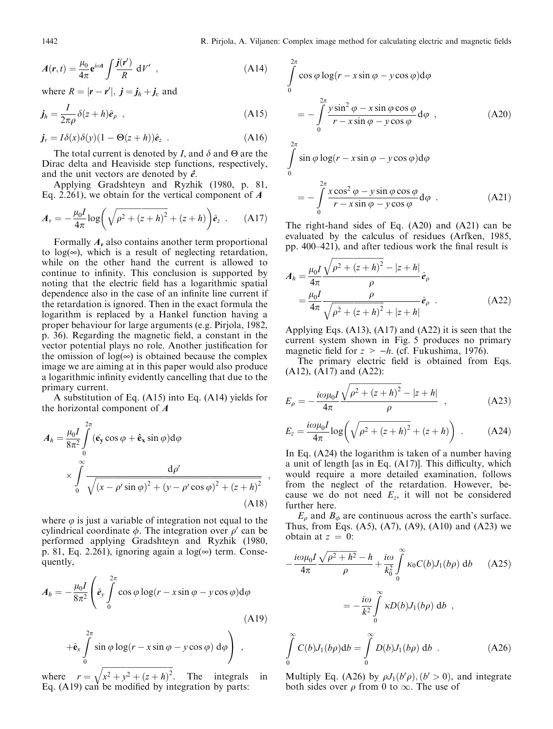$2\pi$ 

$$
A(\mathbf{r},t) = \frac{\mu_0}{4\pi} \mathbf{e}^{i\omega t} \int \frac{j(\mathbf{r}')}{R} \, \mathrm{d}V' \quad , \tag{A14}
$$

where  $R = |\mathbf{r} - \mathbf{r}'|$ ,  $\mathbf{j} = \mathbf{j}_h + \mathbf{j}_v$  and

$$
\dot{\mathbf{j}}_h = \frac{I}{2\pi\rho} \delta(z+h)\hat{\mathbf{e}}_\rho , \qquad (A15)
$$

$$
\mathbf{j}_{v} = I\delta(x)\delta(y)(1 - \Theta(z+h))\hat{e}_{z} . \tag{A16}
$$

The total current is denoted by I, and  $\delta$  and  $\Theta$  are the Dirac delta and Heaviside step functions, respectively, and the unit vectors are denoted by  $\hat{e}$ .

Applying Gradshteyn and Ryzhik (1980, p. 81, Eq. 2.261), we obtain for the vertical component of  $\vec{A}$ 

$$
A_{v} = -\frac{\mu_{0}I}{4\pi} \log \left( \sqrt{\rho^{2} + (z+h)^{2}} + (z+h) \right) \hat{e}_{z} \quad . \quad (A17)
$$

Formally  $A_{\nu}$  also contains another term proportional to  $log(\infty)$ , which is a result of neglecting retardation, while on the other hand the current is allowed to continue to infinity. This conclusion is supported by noting that the electric field has a logarithmic spatial dependence also in the case of an infinite line current if the retardation is ignored. Then in the exact formula the logarithm is replaced by a Hankel function having a proper behaviour for large arguments (e.g. Pirjola, 1982, p. 36). Regarding the magnetic field, a constant in the vector potential plays no role. Another justification for the omission of  $log(\infty)$  is obtained because the complex image we are aiming at in this paper would also produce a logarithmic infinity evidently cancelling that due to the primary current.

A substitution of Eq. (A15) into Eq. (A14) yields for the horizontal component of A

$$
A_h = \frac{\mu_0 I}{8\pi^2} \int_0^{2\pi} (\hat{\mathbf{e}}_y \cos \varphi + \hat{\mathbf{e}}_x \sin \varphi) d\varphi
$$
  
 
$$
\times \int_0^{\infty} \frac{d\rho'}{\sqrt{(x - \rho' \sin \varphi)^2 + (y - \rho' \cos \varphi)^2 + (z + h)^2}}
$$
  
(A18)

where  $\varphi$  is just a variable of integration not equal to the cylindrical coordinate  $\phi$ . The integration over  $\rho'$  can be performed applying Gradshteyn and Ryzhik (1980, p. 81, Eq. 2.261), ignoring again a  $log(\infty)$  term. Consequently,

$$
A_h = -\frac{\mu_0 I}{8\pi^2} \left( \hat{e}_y \int\limits_0^{2\pi} \cos\varphi \log(r - x \sin\varphi - y \cos\varphi) d\varphi \right)
$$
\n(A19)

$$
+\hat{\mathbf{e}}_x \int\limits_0^{2\pi} \sin \varphi \log(r - x \sin \varphi - y \cos \varphi) d\varphi \Bigg) ,
$$

where  $r = \sqrt{x^2 + y^2 + (z+h)^2}$ . The integrals in Eq.  $(A19)$  can be modified by integration by parts:

$$
\int_{0} \cos \varphi \log(r - x \sin \varphi - y \cos \varphi) d\varphi
$$
\n
$$
= -\int_{0}^{2\pi} \frac{y \sin^{2} \varphi - x \sin \varphi \cos \varphi}{r - x \sin \varphi - y \cos \varphi} d\varphi ,
$$
\n(A20)

$$
\int_{0}^{2\pi} \sin \varphi \log(r - x \sin \varphi - y \cos \varphi) d\varphi
$$

$$
= -\int_{0}^{2\pi} \frac{x \cos^2 \varphi - y \sin \varphi \cos \varphi}{r - x \sin \varphi - y \cos \varphi} d\varphi . \tag{A21}
$$

The right-hand sides of Eq. (A20) and (A21) can be evaluated by the calculus of residues (Arfken, 1985, pp.  $400-421$ , and after tedious work the final result is

$$
A_h = \frac{\mu_0 I}{4\pi} \frac{\sqrt{\rho^2 + (z+h)^2} - |z+h|}{\rho} \hat{e}_\rho
$$
  
=  $\frac{\mu_0 I}{4\pi} \frac{\rho}{\sqrt{\rho^2 + (z+h)^2} + |z+h|} \hat{e}_\rho$  (A22)

Applying Eqs. (A13), (A17) and (A22) it is seen that the current system shown in Fig. 5 produces no primary magnetic field for  $z > -h$ . (cf. Fukushima, 1976).

The primary electric field is obtained from Eqs. (A12), (A17) and (A22):

$$
E_{\rho} = -\frac{i\omega\mu_0 I}{4\pi} \frac{\sqrt{\rho^2 + (z+h)^2} - |z+h|}{\rho} , \qquad (A23)
$$

$$
E_z = \frac{i\omega\mu_0 I}{4\pi} \log \left( \sqrt{\rho^2 + (z+h)^2} + (z+h) \right) .
$$
 (A24)

In Eq. (A24) the logarithm is taken of a number having a unit of length [as in Eq.  $(A17)$ ]. This difficulty, which would require a more detailed examination, follows from the neglect of the retardation. However, because we do not need  $E_z$ , it will not be considered further here.

 $E<sub>o</sub>$  and  $B<sub>o</sub>$  are continuous across the earth's surface. Thus, from Eqs.  $(A5)$ ,  $(A7)$ ,  $(A9)$ ,  $(A10)$  and  $(A23)$  we obtain at  $z = 0$ :

$$
-\frac{i\omega\mu_0 I}{4\pi} \frac{\sqrt{\rho^2 + h^2} - h}{\rho} + \frac{i\omega}{k_0^2} \int_0^\infty \kappa_0 C(b) J_1(b\rho) \, db \quad (A25)
$$

$$
= -\frac{i\omega}{k^2} \int_0^\infty \kappa D(b) J_1(b\rho) \, db \ ,
$$

$$
\int_0^\infty C(b) J_1(b\rho) \, db = \int_0^\infty D(b) J_1(b\rho) \, db \ . \quad (A26)
$$

Multiply Eq. (A26) by  $\rho J_1(b' \rho)$ ,  $(b' > 0)$ , and integrate both sides over  $\rho$  from 0 to  $\infty$ . The use of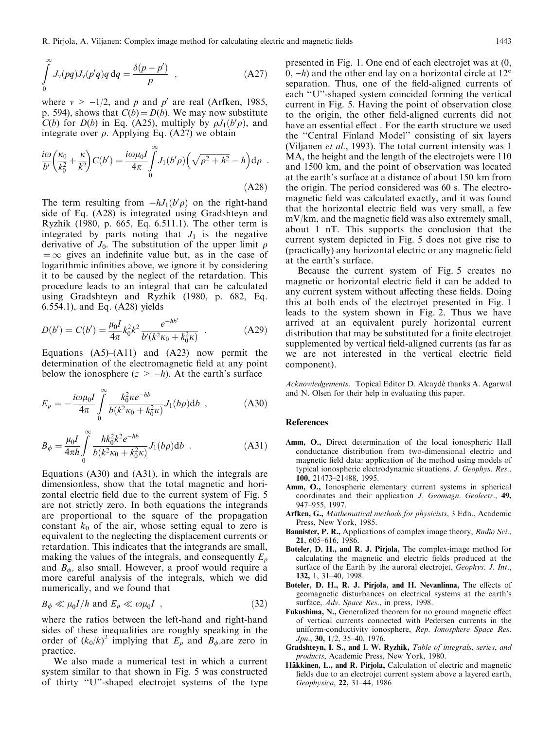R. Pirjola, A. Viljanen: Complex image method for calculating electric and magnetic fields 1443

$$
\int_{0}^{\infty} J_{\nu}(pq) J_{\nu}(p'q) q dq = \frac{\delta(p-p')}{p} , \qquad (A27)
$$

where  $v > -1/2$ , and p and p' are real (Arfken, 1985, p. 594), shows that  $C(b) = D(b)$ . We may now substitute  $C(b)$  for  $D(b)$  in Eq. (A25), multiply by  $\rho J_1(b'\rho)$ , and integrate over  $\rho$ . Applying Eq. (A27) we obtain

$$
\frac{i\omega}{b'}\left(\frac{\kappa_0}{k_0^2} + \frac{\kappa}{k^2}\right)C(b') = \frac{i\omega\mu_0 I}{4\pi} \int_0^\infty J_1(b'\rho)\left(\sqrt{\rho^2 + h^2} - h\right)d\rho
$$
\n(A28)

The term resulting from  $-hJ_1(b'\rho)$  on the right-hand side of Eq. (A28) is integrated using Gradshteyn and Ryzhik (1980, p. 665, Eq. 6.511.1). The other term is integrated by parts noting that  $J_1$  is the negative derivative of  $J_0$ . The substitution of the upper limit  $\rho$  $=\infty$  gives an indefinite value but, as in the case of logarithmic infinities above, we ignore it by considering it to be caused by the neglect of the retardation. This procedure leads to an integral that can be calculated using Gradshteyn and Ryzhik (1980, p. 682, Eq. 6.554.1), and Eq. (A28) yields

$$
D(b') = C(b') = \frac{\mu_0 I}{4\pi} k_0^2 k^2 \frac{e^{-hb'}}{b'(k^2 \kappa_0 + k_0^2 \kappa)} \quad . \tag{A29}
$$

Equations  $(A5)$ – $(A11)$  and  $(A23)$  now permit the determination of the electromagnetic field at any point below the ionosphere  $(z > -h)$ . At the earth's surface

$$
E_{\rho} = -\frac{i\omega\mu_0 I}{4\pi} \int_{0}^{\infty} \frac{k_0^2 \kappa e^{-hb}}{b(k^2 \kappa_0 + k_0^2 \kappa)} J_1(b\rho) db , \qquad (A30)
$$

$$
B_{\phi} = \frac{\mu_0 I}{4\pi h} \int_0^{\infty} \frac{hk_0^2 k^2 e^{-hb}}{b(k^2 \kappa_0 + k_0^2 \kappa)} J_1(b\rho) db .
$$
 (A31)

Equations (A30) and (A31), in which the integrals are dimensionless, show that the total magnetic and horizontal electric field due to the current system of Fig. 5 are not strictly zero. In both equations the integrands are proportional to the square of the propagation constant  $k_0$  of the air, whose setting equal to zero is equivalent to the neglecting the displacement currents or retardation. This indicates that the integrands are small, making the values of the integrals, and consequently  $E<sub>o</sub>$ and  $B_{\phi}$ , also small. However, a proof would require a more careful analysis of the integrals, which we did numerically, and we found that

$$
B_{\phi} \ll \mu_0 I / h \text{ and } E_{\rho} \ll \omega \mu_0 I \quad , \tag{32}
$$

where the ratios between the left-hand and right-hand sides of these inequalities are roughly speaking in the order of  $(k_0/k)^2$  implying that  $E_\rho$  and  $B_\phi$ , are zero in practice.

We also made a numerical test in which a current system similar to that shown in Fig. 5 was constructed of thirty ``U''-shaped electrojet systems of the type

presented in Fig. 1. One end of each electrojet was at (0, 0,  $-h$ ) and the other end lay on a horizontal circle at 12 $\degree$ separation. Thus, one of the field-aligned currents of each "U"-shaped system coincided forming the vertical current in Fig. 5. Having the point of observation close to the origin, the other field-aligned currents did not have an essential effect. For the earth structure we used the "Central Finland Model" consisting of six layers (Viljanen et al., 1993). The total current intensity was 1 MA, the height and the length of the electrojets were 110 and 1500 km, and the point of observation was located at the earth's surface at a distance of about 150 km from the origin. The period considered was 60 s. The electromagnetic field was calculated exactly, and it was found that the horizontal electric field was very small, a few  $mV/km$ , and the magnetic field was also extremely small, about 1 nT. This supports the conclusion that the current system depicted in Fig. 5 does not give rise to (practically) any horizontal electric or any magnetic field at the earth's surface.

Because the current system of Fig. 5 creates no magnetic or horizontal electric field it can be added to any current system without affecting these fields. Doing this at both ends of the electrojet presented in Fig. 1 leads to the system shown in Fig. 2. Thus we have arrived at an equivalent purely horizontal current distribution that may be substituted for a finite electrojet supplemented by vertical field-aligned currents (as far as we are not interested in the vertical electric field component).

Acknowledgements. Topical Editor D. Alcaydé thanks A. Agarwal and N. Olsen for their help in evaluating this paper.

#### References

- Amm, O., Direct determination of the local ionospheric Hall conductance distribution from two-dimensional electric and magnetic field data: application of the method using models of typical ionospheric electrodynamic situations. J. Geophys. Res., 100, 21473-21488, 1995.
- Amm, O., Ionospheric elementary current systems in spherical coordinates and their application J. Geomagn. Geolectr., 49, 947±955, 1997.
- Arfken, G., Mathematical methods for physicists, 3 Edn., Academic Press, New York, 1985.
- Bannister, P. R., Applications of complex image theory, Radio Sci., **21**, 605–616, 1986.
- Boteler, D. H., and R. J. Pirjola, The complex-image method for calculating the magnetic and electric fields produced at the surface of the Earth by the auroral electrojet, Geophys. J. Int., 132, 1, 31-40, 1998.
- Boteler, D. H., R. J. Pirjola, and H. Nevanlinna, The effects of geomagnetic disturbances on electrical systems at the earth's surface, Adv. Space Res., in press, 1998.
- Fukushima, N., Generalized theorem for no ground magnetic effect of vertical currents connected with Pedersen currents in the uniform-conductivity ionosphere, Rep. Ionosphere Space Res. Jpn., 30, 1/2, 35-40, 1976.
- Gradshteyn, I. S., and I. W. Ryzhik, Table of integrals, series, and products, Academic Press, New York, 1980.
- Häkkinen, L., and R. Pirjola, Calculation of electric and magnetic fields due to an electrojet current system above a layered earth, Geophysica, 22, 31-44, 1986